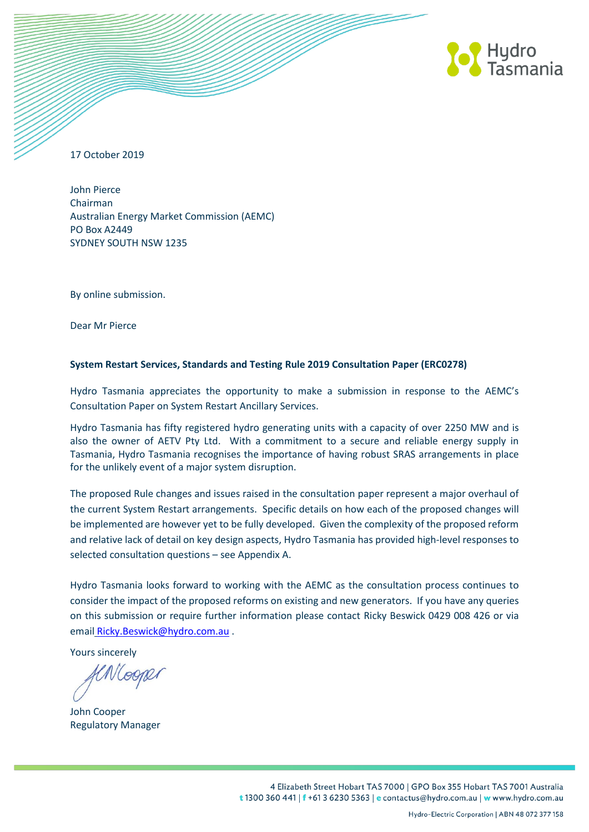

17 October 2019

John Pierce Chairman Australian Energy Market Commission (AEMC) PO Box A2449 SYDNEY SOUTH NSW 1235

By online submission.

Dear Mr Pierce

## **System Restart Services, Standards and Testing Rule 2019 Consultation Paper (ERC0278)**

Hydro Tasmania appreciates the opportunity to make a submission in response to the AEMC's Consultation Paper on System Restart Ancillary Services.

Hydro Tasmania has fifty registered hydro generating units with a capacity of over 2250 MW and is also the owner of AETV Pty Ltd. With a commitment to a secure and reliable energy supply in Tasmania, Hydro Tasmania recognises the importance of having robust SRAS arrangements in place for the unlikely event of a major system disruption.

The proposed Rule changes and issues raised in the consultation paper represent a major overhaul of the current System Restart arrangements. Specific details on how each of the proposed changes will be implemented are however yet to be fully developed. Given the complexity of the proposed reform and relative lack of detail on key design aspects, Hydro Tasmania has provided high-level responses to selected consultation questions – see Appendix A.

Hydro Tasmania looks forward to working with the AEMC as the consultation process continues to consider the impact of the proposed reforms on existing and new generators. If you have any queries on this submission or require further information please contact Ricky Beswick 0429 008 426 or via email [Ricky.Beswick@hydro.com.au](mailto:Ricky.Beswick@hydro.com.au) .

Yours sincerely

VLOONLI

John Cooper Regulatory Manager

4 Elizabeth Street Hobart TAS 7000 | GPO Box 355 Hobart TAS 7001 Australia t 1300 360 441 | f +61 3 6230 5363 | e contactus@hydro.com.au | w www.hydro.com.au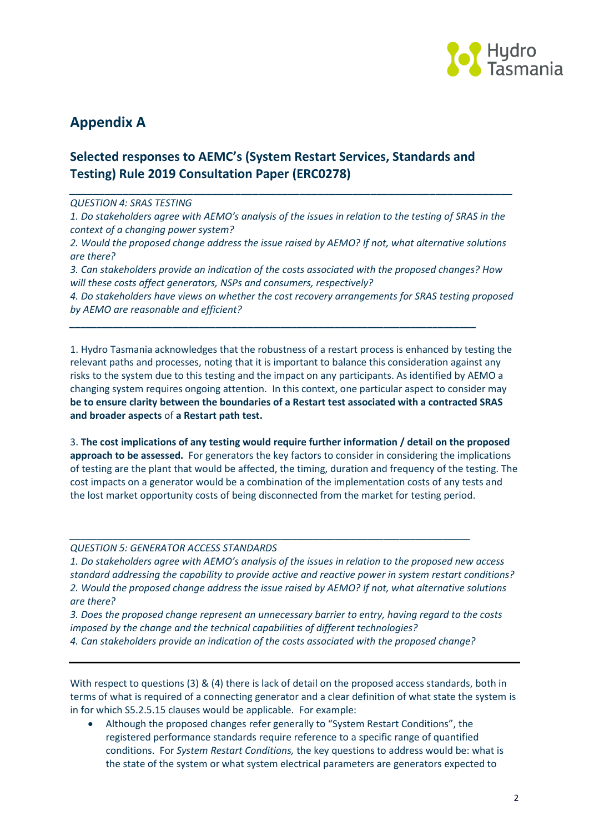

# **Appendix A**

# **Selected responses to AEMC's (System Restart Services, Standards and Testing) Rule 2019 Consultation Paper (ERC0278)**

#### *\_\_\_\_\_\_\_\_\_\_\_\_\_\_\_\_\_\_\_\_\_\_\_\_\_\_\_\_\_\_\_\_\_\_\_\_\_\_\_\_\_\_\_\_\_\_\_\_\_\_\_\_\_\_\_\_\_\_\_\_\_\_\_\_\_\_\_\_\_\_\_\_\_\_\_ QUESTION 4: SRAS TESTING*

*1. Do stakeholders agree with AEMO's analysis of the issues in relation to the testing of SRAS in the context of a changing power system?*

*2. Would the proposed change address the issue raised by AEMO? If not, what alternative solutions are there?*

*3. Can stakeholders provide an indication of the costs associated with the proposed changes? How will these costs affect generators, NSPs and consumers, respectively?*

*\_\_\_\_\_\_\_\_\_\_\_\_\_\_\_\_\_\_\_\_\_\_\_\_\_\_\_\_\_\_\_\_\_\_\_\_\_\_\_\_\_\_\_\_\_\_\_\_\_\_\_\_\_\_\_\_\_\_\_\_\_\_\_\_\_\_\_\_\_\_\_\_\_\_\_*

*4. Do stakeholders have views on whether the cost recovery arrangements for SRAS testing proposed by AEMO are reasonable and efficient?*

1. Hydro Tasmania acknowledges that the robustness of a restart process is enhanced by testing the relevant paths and processes, noting that it is important to balance this consideration against any risks to the system due to this testing and the impact on any participants. As identified by AEMO a changing system requires ongoing attention. In this context, one particular aspect to consider may **be to ensure clarity between the boundaries of a Restart test associated with a contracted SRAS and broader aspects** of **a Restart path test.**

3. **The cost implications of any testing would require further information / detail on the proposed approach to be assessed.** For generators the key factors to consider in considering the implications of testing are the plant that would be affected, the timing, duration and frequency of the testing. The cost impacts on a generator would be a combination of the implementation costs of any tests and the lost market opportunity costs of being disconnected from the market for testing period.

### *QUESTION 5: GENERATOR ACCESS STANDARDS*

*1. Do stakeholders agree with AEMO's analysis of the issues in relation to the proposed new access standard addressing the capability to provide active and reactive power in system restart conditions? 2. Would the proposed change address the issue raised by AEMO? If not, what alternative solutions are there?* 

*\_\_\_\_\_\_\_\_\_\_\_\_\_\_\_\_\_\_\_\_\_\_\_\_\_\_\_\_\_\_\_\_\_\_\_\_\_\_\_\_\_\_\_\_\_\_\_\_\_\_\_\_\_\_\_\_\_\_\_\_\_\_\_\_\_\_\_\_\_\_\_\_\_\_*

*3. Does the proposed change represent an unnecessary barrier to entry, having regard to the costs imposed by the change and the technical capabilities of different technologies? 4. Can stakeholders provide an indication of the costs associated with the proposed change?* 

With respect to questions (3) & (4) there is lack of detail on the proposed access standards, both in terms of what is required of a connecting generator and a clear definition of what state the system is in for which S5.2.5.15 clauses would be applicable. For example:

 Although the proposed changes refer generally to "System Restart Conditions", the registered performance standards require reference to a specific range of quantified conditions. For *System Restart Conditions,* the key questions to address would be: what is the state of the system or what system electrical parameters are generators expected to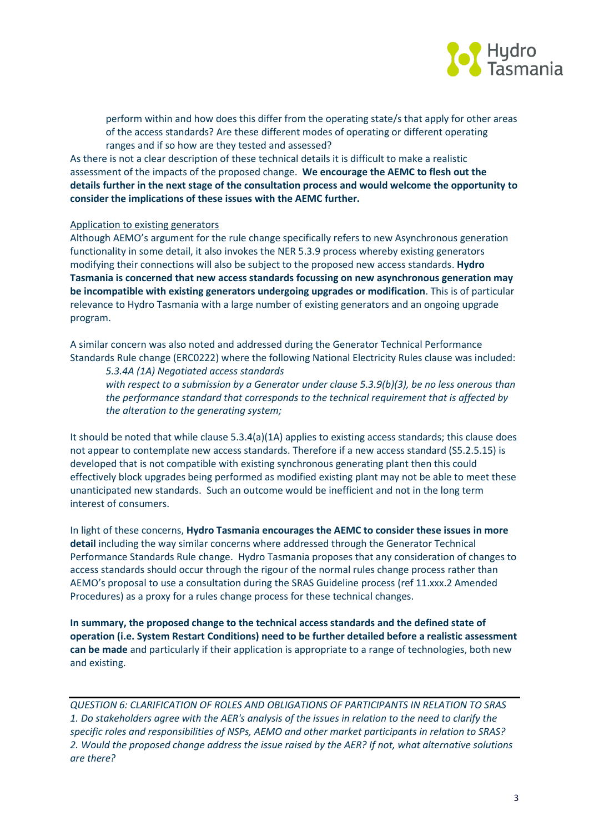

perform within and how does this differ from the operating state/s that apply for other areas of the access standards? Are these different modes of operating or different operating ranges and if so how are they tested and assessed?

As there is not a clear description of these technical details it is difficult to make a realistic assessment of the impacts of the proposed change. **We encourage the AEMC to flesh out the details further in the next stage of the consultation process and would welcome the opportunity to consider the implications of these issues with the AEMC further.**

#### Application to existing generators

Although AEMO's argument for the rule change specifically refers to new Asynchronous generation functionality in some detail, it also invokes the NER 5.3.9 process whereby existing generators modifying their connections will also be subject to the proposed new access standards. **Hydro Tasmania is concerned that new access standards focussing on new asynchronous generation may be incompatible with existing generators undergoing upgrades or modification**. This is of particular relevance to Hydro Tasmania with a large number of existing generators and an ongoing upgrade program.

A similar concern was also noted and addressed during the Generator Technical Performance Standards Rule change (ERC0222) where the following National Electricity Rules clause was included:

*5.3.4A (1A) Negotiated access standards with respect to a submission by a Generator under clause 5.3.9(b)(3), be no less onerous than the performance standard that corresponds to the technical requirement that is affected by the alteration to the generating system;*

It should be noted that while clause 5.3.4(a)(1A) applies to existing access standards; this clause does not appear to contemplate new access standards. Therefore if a new access standard (S5.2.5.15) is developed that is not compatible with existing synchronous generating plant then this could effectively block upgrades being performed as modified existing plant may not be able to meet these unanticipated new standards. Such an outcome would be inefficient and not in the long term interest of consumers.

In light of these concerns, **Hydro Tasmania encourages the AEMC to consider these issues in more detail** including the way similar concerns where addressed through the Generator Technical Performance Standards Rule change. Hydro Tasmania proposes that any consideration of changes to access standards should occur through the rigour of the normal rules change process rather than AEMO's proposal to use a consultation during the SRAS Guideline process (ref 11.xxx.2 Amended Procedures) as a proxy for a rules change process for these technical changes.

**In summary, the proposed change to the technical access standards and the defined state of operation (i.e. System Restart Conditions) need to be further detailed before a realistic assessment can be made** and particularly if their application is appropriate to a range of technologies, both new and existing.

*QUESTION 6: CLARIFICATION OF ROLES AND OBLIGATIONS OF PARTICIPANTS IN RELATION TO SRAS 1. Do stakeholders agree with the AER's analysis of the issues in relation to the need to clarify the specific roles and responsibilities of NSPs, AEMO and other market participants in relation to SRAS? 2. Would the proposed change address the issue raised by the AER? If not, what alternative solutions are there?*